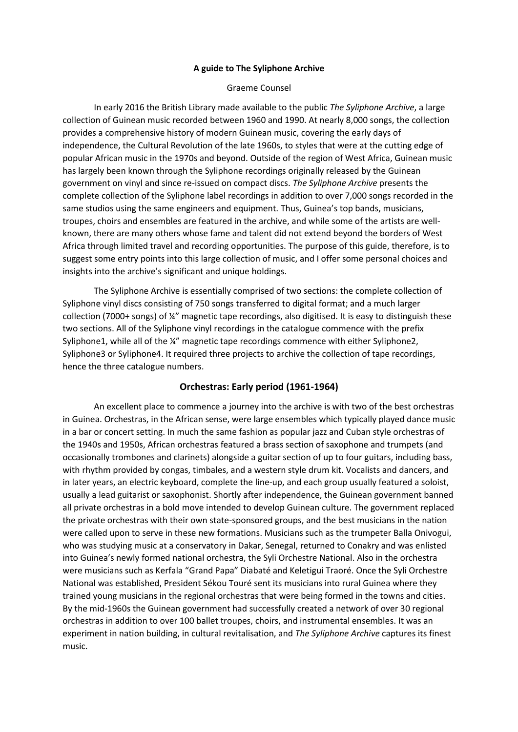#### **A guide to The Syliphone Archive**

#### Graeme Counsel

In early 2016 the British Library made available to the public *The Syliphone Archive*, a large collection of Guinean music recorded between 1960 and 1990. At nearly 8,000 songs, the collection provides a comprehensive history of modern Guinean music, covering the early days of independence, the Cultural Revolution of the late 1960s, to styles that were at the cutting edge of popular African music in the 1970s and beyond. Outside of the region of West Africa, Guinean music has largely been known through the Syliphone recordings originally released by the Guinean government on vinyl and since re-issued on compact discs. *The Syliphone Archive* presents the complete collection of the Syliphone label recordings in addition to over 7,000 songs recorded in the same studios using the same engineers and equipment. Thus, Guinea's top bands, musicians, troupes, choirs and ensembles are featured in the archive, and while some of the artists are wellknown, there are many others whose fame and talent did not extend beyond the borders of West Africa through limited travel and recording opportunities. The purpose of this guide, therefore, is to suggest some entry points into this large collection of music, and I offer some personal choices and insights into the archive's significant and unique holdings.

The Syliphone Archive is essentially comprised of two sections: the complete collection of Syliphone vinyl discs consisting of 750 songs transferred to digital format; and a much larger collection (7000+ songs) of ¼" magnetic tape recordings, also digitised. It is easy to distinguish these two sections. All of the Syliphone vinyl recordings in the catalogue commence with the prefix Syliphone1, while all of the ¼" magnetic tape recordings commence with either Syliphone2, Syliphone3 or Syliphone4. It required three projects to archive the collection of tape recordings, hence the three catalogue numbers.

#### **Orchestras: Early period (1961-1964)**

An excellent place to commence a journey into the archive is with two of the best orchestras in Guinea. Orchestras, in the African sense, were large ensembles which typically played dance music in a bar or concert setting. In much the same fashion as popular jazz and Cuban style orchestras of the 1940s and 1950s, African orchestras featured a brass section of saxophone and trumpets (and occasionally trombones and clarinets) alongside a guitar section of up to four guitars, including bass, with rhythm provided by congas, timbales, and a western style drum kit. Vocalists and dancers, and in later years, an electric keyboard, complete the line-up, and each group usually featured a soloist, usually a lead guitarist or saxophonist. Shortly after independence, the Guinean government banned all private orchestras in a bold move intended to develop Guinean culture. The government replaced the private orchestras with their own state-sponsored groups, and the best musicians in the nation were called upon to serve in these new formations. Musicians such as the trumpeter Balla Onivogui, who was studying music at a conservatory in Dakar, Senegal, returned to Conakry and was enlisted into Guinea's newly formed national orchestra, the Syli Orchestre National. Also in the orchestra were musicians such as Kerfala "Grand Papa" Diabaté and Keletigui Traoré. Once the Syli Orchestre National was established, President Sékou Touré sent its musicians into rural Guinea where they trained young musicians in the regional orchestras that were being formed in the towns and cities. By the mid-1960s the Guinean government had successfully created a network of over 30 regional orchestras in addition to over 100 ballet troupes, choirs, and instrumental ensembles. It was an experiment in nation building, in cultural revitalisation, and *The Syliphone Archive* captures its finest music.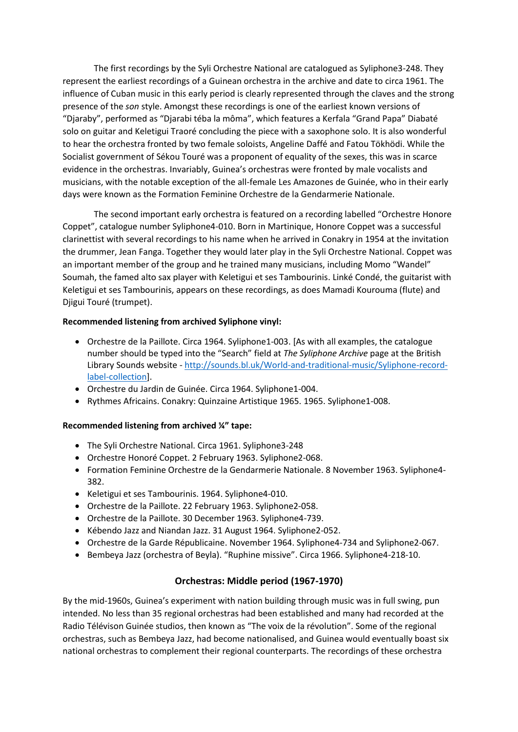The first recordings by the Syli Orchestre National are catalogued as Syliphone3-248. They represent the earliest recordings of a Guinean orchestra in the archive and date to circa 1961. The influence of Cuban music in this early period is clearly represented through the claves and the strong presence of the *son* style. Amongst these recordings is one of the earliest known versions of "Djaraby", performed as "Djarabi téba la môma", which features a Kerfala "Grand Papa" Diabaté solo on guitar and Keletigui Traoré concluding the piece with a saxophone solo. It is also wonderful to hear the orchestra fronted by two female soloists, Angeline Daffé and Fatou Tökhödi. While the Socialist government of Sékou Touré was a proponent of equality of the sexes, this was in scarce evidence in the orchestras. Invariably, Guinea's orchestras were fronted by male vocalists and musicians, with the notable exception of the all-female Les Amazones de Guinée, who in their early days were known as the Formation Feminine Orchestre de la Gendarmerie Nationale.

The second important early orchestra is featured on a recording labelled "Orchestre Honore Coppet", catalogue number Syliphone4-010. Born in Martinique, Honore Coppet was a successful clarinettist with several recordings to his name when he arrived in Conakry in 1954 at the invitation the drummer, Jean Fanga. Together they would later play in the Syli Orchestre National. Coppet was an important member of the group and he trained many musicians, including Momo "Wandel" Soumah, the famed alto sax player with Keletigui et ses Tambourinis. Linké Condé, the guitarist with Keletigui et ses Tambourinis, appears on these recordings, as does Mamadi Kourouma (flute) and Djigui Touré (trumpet).

### **Recommended listening from archived Syliphone vinyl:**

- Orchestre de la Paillote. Circa 1964. Syliphone1-003. [As with all examples, the catalogue number should be typed into the "Search" field at *The Syliphone Archive* page at the British Library Sounds website - [http://sounds.bl.uk/World-and-traditional-music/Syliphone-record](http://sounds.bl.uk/World-and-traditional-music/Syliphone-record-label-collection)[label-collection\]](http://sounds.bl.uk/World-and-traditional-music/Syliphone-record-label-collection).
- Orchestre du Jardin de Guinée. Circa 1964. Syliphone1-004.
- Rythmes Africains. Conakry: Quinzaine Artistique 1965. 1965. Syliphone1-008.

# **Recommended listening from archived ¼" tape:**

- The Syli Orchestre National. Circa 1961. Syliphone3-248
- Orchestre Honoré Coppet. 2 February 1963. Syliphone2-068.
- Formation Feminine Orchestre de la Gendarmerie Nationale. 8 November 1963. Syliphone4- 382.
- Keletigui et ses Tambourinis. 1964. Syliphone4-010.
- Orchestre de la Paillote. 22 February 1963. Syliphone2-058.
- Orchestre de la Paillote. 30 December 1963. Syliphone4-739.
- Kébendo Jazz and Niandan Jazz. 31 August 1964. Syliphone2-052.
- Orchestre de la Garde Républicaine. November 1964. Syliphone4-734 and Syliphone2-067.
- Bembeya Jazz (orchestra of Beyla). "Ruphine missive". Circa 1966. Syliphone4-218-10.

# **Orchestras: Middle period (1967-1970)**

By the mid-1960s, Guinea's experiment with nation building through music was in full swing, pun intended. No less than 35 regional orchestras had been established and many had recorded at the Radio Télévison Guinée studios, then known as "The voix de la révolution". Some of the regional orchestras, such as Bembeya Jazz, had become nationalised, and Guinea would eventually boast six national orchestras to complement their regional counterparts. The recordings of these orchestra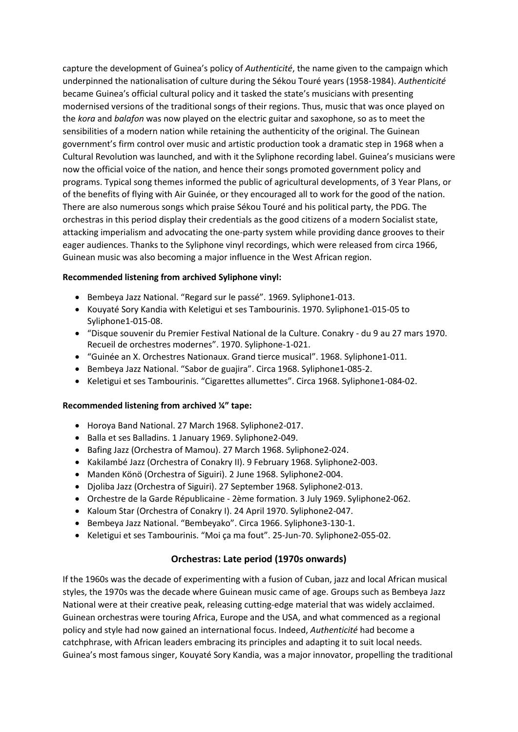capture the development of Guinea's policy of *Authenticité*, the name given to the campaign which underpinned the nationalisation of culture during the Sékou Touré years (1958-1984). *Authenticité* became Guinea's official cultural policy and it tasked the state's musicians with presenting modernised versions of the traditional songs of their regions. Thus, music that was once played on the *kora* and *balafon* was now played on the electric guitar and saxophone, so as to meet the sensibilities of a modern nation while retaining the authenticity of the original. The Guinean government's firm control over music and artistic production took a dramatic step in 1968 when a Cultural Revolution was launched, and with it the Syliphone recording label. Guinea's musicians were now the official voice of the nation, and hence their songs promoted government policy and programs. Typical song themes informed the public of agricultural developments, of 3 Year Plans, or of the benefits of flying with Air Guinée, or they encouraged all to work for the good of the nation. There are also numerous songs which praise Sékou Touré and his political party, the PDG. The orchestras in this period display their credentials as the good citizens of a modern Socialist state, attacking imperialism and advocating the one-party system while providing dance grooves to their eager audiences. Thanks to the Syliphone vinyl recordings, which were released from circa 1966, Guinean music was also becoming a major influence in the West African region.

### **Recommended listening from archived Syliphone vinyl:**

- Bembeya Jazz National. "Regard sur le passé". 1969. Syliphone1-013.
- Kouyaté Sory Kandia with Keletigui et ses Tambourinis. 1970. Syliphone1-015-05 to Syliphone1-015-08.
- "Disque souvenir du Premier Festival National de la Culture. Conakry du 9 au 27 mars 1970. Recueil de orchestres modernes". 1970. Syliphone-1-021.
- "Guinée an X. Orchestres Nationaux. Grand tierce musical". 1968. Syliphone1-011.
- Bembeya Jazz National. "Sabor de guajira". Circa 1968. Syliphone1-085-2.
- Keletigui et ses Tambourinis. "Cigarettes allumettes". Circa 1968. Syliphone1-084-02.

#### **Recommended listening from archived ¼" tape:**

- Horoya Band National. 27 March 1968. Syliphone2-017.
- Balla et ses Balladins. 1 January 1969. Syliphone2-049.
- Bafing Jazz (Orchestra of Mamou). 27 March 1968. Syliphone2-024.
- Kakilambé Jazz (Orchestra of Conakry II). 9 February 1968. Syliphone2-003.
- Manden Könö (Orchestra of Siguiri). 2 June 1968. Syliphone2-004.
- Djoliba Jazz (Orchestra of Siguiri). 27 September 1968. Syliphone2-013.
- Orchestre de la Garde Républicaine 2ème formation. 3 July 1969. Syliphone2-062.
- Kaloum Star (Orchestra of Conakry I). 24 April 1970. Syliphone2-047.
- Bembeya Jazz National. "Bembeyako". Circa 1966. Syliphone3-130-1.
- Keletigui et ses Tambourinis. "Moi ça ma fout". 25-Jun-70. Syliphone2-055-02.

# **Orchestras: Late period (1970s onwards)**

If the 1960s was the decade of experimenting with a fusion of Cuban, jazz and local African musical styles, the 1970s was the decade where Guinean music came of age. Groups such as Bembeya Jazz National were at their creative peak, releasing cutting-edge material that was widely acclaimed. Guinean orchestras were touring Africa, Europe and the USA, and what commenced as a regional policy and style had now gained an international focus. Indeed, *Authenticité* had become a catchphrase, with African leaders embracing its principles and adapting it to suit local needs. Guinea's most famous singer, Kouyaté Sory Kandia, was a major innovator, propelling the traditional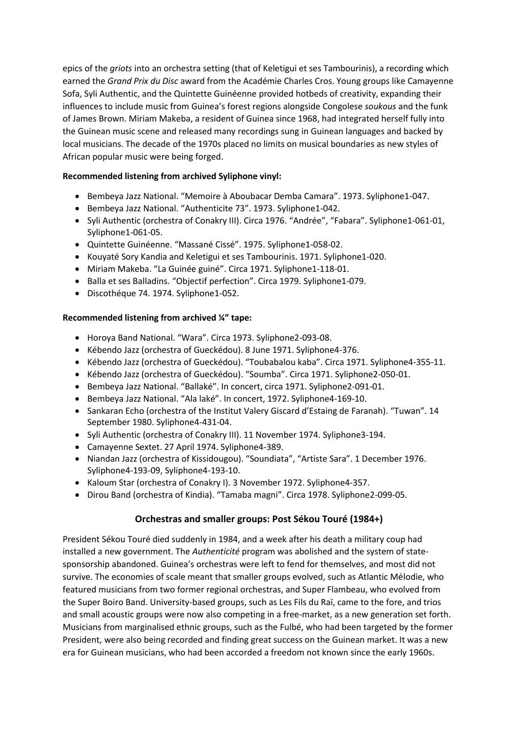epics of the *griots* into an orchestra setting (that of Keletigui et ses Tambourinis), a recording which earned the *Grand Prix du Disc* award from the Académie Charles Cros. Young groups like Camayenne Sofa, Syli Authentic, and the Quintette Guinéenne provided hotbeds of creativity, expanding their influences to include music from Guinea's forest regions alongside Congolese *soukous* and the funk of James Brown. Miriam Makeba, a resident of Guinea since 1968, had integrated herself fully into the Guinean music scene and released many recordings sung in Guinean languages and backed by local musicians. The decade of the 1970s placed no limits on musical boundaries as new styles of African popular music were being forged.

# **Recommended listening from archived Syliphone vinyl:**

- Bembeya Jazz National. "Memoire à Aboubacar Demba Camara". 1973. Syliphone1-047.
- Bembeya Jazz National. "Authenticite 73". 1973. Syliphone1-042.
- Syli Authentic (orchestra of Conakry III). Circa 1976. "Andrée", "Fabara". Syliphone1-061-01, Syliphone1-061-05.
- Quintette Guinéenne. "Massané Cissé". 1975. Syliphone1-058-02.
- Kouyaté Sory Kandia and Keletigui et ses Tambourinis. 1971. Syliphone1-020.
- Miriam Makeba. "La Guinée guiné". Circa 1971. Syliphone1-118-01.
- Balla et ses Balladins. "Objectif perfection". Circa 1979. Syliphone1-079.
- Discothéque 74. 1974. Syliphone1-052.

# **Recommended listening from archived ¼" tape:**

- Horoya Band National. "Wara". Circa 1973. Syliphone2-093-08.
- Kébendo Jazz (orchestra of Gueckédou). 8 June 1971. Syliphone4-376.
- Kébendo Jazz (orchestra of Gueckédou). "Toubabalou kaba". Circa 1971. Syliphone4-355-11.
- Kébendo Jazz (orchestra of Gueckédou). "Soumba". Circa 1971. Syliphone2-050-01.
- Bembeya Jazz National. "Ballaké". In concert, circa 1971. Syliphone2-091-01.
- Bembeya Jazz National. "Ala laké". In concert, 1972. Syliphone4-169-10.
- Sankaran Echo (orchestra of the Institut Valery Giscard d'Estaing de Faranah). "Tuwan". 14 September 1980. Syliphone4-431-04.
- Syli Authentic (orchestra of Conakry III). 11 November 1974. Syliphone3-194.
- Camayenne Sextet. 27 April 1974. Syliphone4-389.
- Niandan Jazz (orchestra of Kissidougou). "Soundiata", "Artiste Sara". 1 December 1976. Syliphone4-193-09, Syliphone4-193-10.
- Kaloum Star (orchestra of Conakry I). 3 November 1972. Syliphone4-357.
- Dirou Band (orchestra of Kindia). "Tamaba magni". Circa 1978. Syliphone2-099-05.

# **Orchestras and smaller groups: Post Sékou Touré (1984+)**

President Sékou Touré died suddenly in 1984, and a week after his death a military coup had installed a new government. The *Authenticité* program was abolished and the system of statesponsorship abandoned. Guinea's orchestras were left to fend for themselves, and most did not survive. The economies of scale meant that smaller groups evolved, such as Atlantic Mélodie, who featured musicians from two former regional orchestras, and Super Flambeau, who evolved from the Super Boiro Band. University-based groups, such as Les Fils du Raï, came to the fore, and trios and small acoustic groups were now also competing in a free-market, as a new generation set forth. Musicians from marginalised ethnic groups, such as the Fulbé, who had been targeted by the former President, were also being recorded and finding great success on the Guinean market. It was a new era for Guinean musicians, who had been accorded a freedom not known since the early 1960s.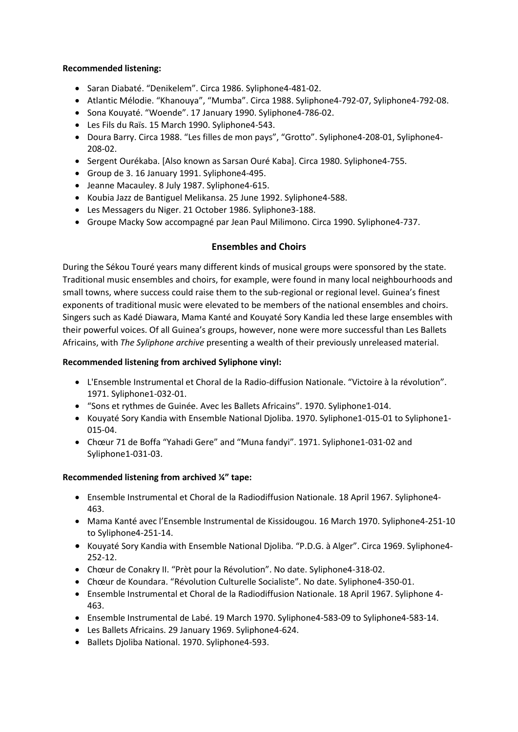### **Recommended listening:**

- Saran Diabaté. "Denikelem". Circa 1986. Syliphone4-481-02.
- Atlantic Mélodie. "Khanouya", "Mumba". Circa 1988. Syliphone4-792-07, Syliphone4-792-08.
- Sona Kouyaté. "Woende". 17 January 1990. Syliphone4-786-02.
- Les Fils du Raïs. 15 March 1990. Syliphone4-543.
- Doura Barry. Circa 1988. "Les filles de mon pays", "Grotto". Syliphone4-208-01, Syliphone4- 208-02.
- Sergent Ourékaba. [Also known as Sarsan Ouré Kaba]. Circa 1980. Syliphone4-755.
- Group de 3. 16 January 1991. Syliphone4-495.
- Jeanne Macauley. 8 July 1987. Syliphone4-615.
- Koubia Jazz de Bantiguel Melikansa. 25 June 1992. Syliphone4-588.
- Les Messagers du Niger. 21 October 1986. Syliphone3-188.
- Groupe Macky Sow accompagné par Jean Paul Milimono. Circa 1990. Syliphone4-737.

# **Ensembles and Choirs**

During the Sékou Touré years many different kinds of musical groups were sponsored by the state. Traditional music ensembles and choirs, for example, were found in many local neighbourhoods and small towns, where success could raise them to the sub-regional or regional level. Guinea's finest exponents of traditional music were elevated to be members of the national ensembles and choirs. Singers such as Kadé Diawara, Mama Kanté and Kouyaté Sory Kandia led these large ensembles with their powerful voices. Of all Guinea's groups, however, none were more successful than Les Ballets Africains, with *The Syliphone archive* presenting a wealth of their previously unreleased material.

### **Recommended listening from archived Syliphone vinyl:**

- L'Ensemble Instrumental et Choral de la Radio-diffusion Nationale. "Victoire à la révolution". 1971. Syliphone1-032-01.
- "Sons et rythmes de Guinée. Avec les Ballets Africains". 1970. Syliphone1-014.
- Kouyaté Sory Kandia with Ensemble National Djoliba. 1970. Syliphone1-015-01 to Syliphone1-015-04.
- Chœur 71 de Boffa "Yahadi Gere" and "Muna fandyi". 1971. Syliphone1-031-02 and Syliphone1-031-03.

# **Recommended listening from archived ¼" tape:**

- Ensemble Instrumental et Choral de la Radiodiffusion Nationale. 18 April 1967. Syliphone4- 463.
- Mama Kanté avec l'Ensemble Instrumental de Kissidougou. 16 March 1970. Syliphone4-251-10 to Syliphone4-251-14.
- Kouyaté Sory Kandia with Ensemble National Djoliba. "P.D.G. à Alger". Circa 1969. Syliphone4-252-12.
- Chœur de Conakry II. "Prèt pour la Révolution". No date. Syliphone4-318-02.
- Chœur de Koundara. "Révolution Culturelle Socialiste". No date. Syliphone4-350-01.
- Ensemble Instrumental et Choral de la Radiodiffusion Nationale. 18 April 1967. Syliphone 4- 463.
- Ensemble Instrumental de Labé. 19 March 1970. Syliphone4-583-09 to Syliphone4-583-14.
- Les Ballets Africains. 29 January 1969. Syliphone4-624.
- Ballets Djoliba National. 1970. Syliphone4-593.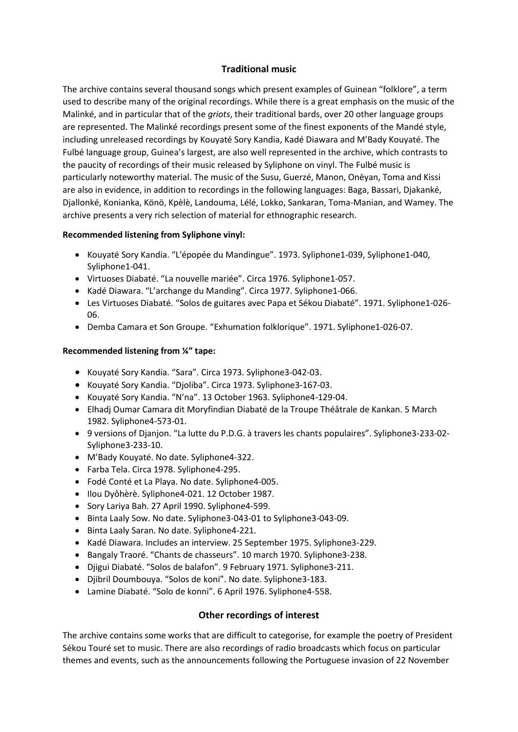# **Traditional music**

The archive contains several thousand songs which present examples of Guinean "folklore", a term used to describe many of the original recordings. While there is a great emphasis on the music of the Malinké, and in particular that of the *griots*, their traditional bards, over 20 other language groups are represented. The Malinké recordings present some of the finest exponents of the Mandé style, including unreleased recordings by Kouyaté Sory Kandia, Kadé Diawara and M'Bady Kouyaté. The Fulbé language group, Guinea's largest, are also well represented in the archive, which contrasts to the paucity of recordings of their music released by Syliphone on vinyl. The Fulbé music is particularly noteworthy material. The music of the Susu, Guerzé, Manon, Onëyan, Toma and Kissi are also in evidence, in addition to recordings in the following languages: Baga, Bassari, Djakanké, Djallonké, Konianka, Könö, Kpèlè, Landouma, Lélé, Lokko, Sankaran, Toma-Manian, and Wamey. The archive presents a very rich selection of material for ethnographic research.

### **Recommended listening from Syliphone vinyl:**

- Kouyaté Sory Kandia. "L'épopée du Mandingue". 1973. Syliphone1-039, Syliphone1-040, Syliphone1-041.
- Virtuoses Diabaté. "La nouvelle mariée". Circa 1976. Syliphone1-057.
- Kadé Diawara. "L'archange du Manding". Circa 1977. Syliphone1-066.
- Les Virtuoses Diabaté. "Solos de guitares avec Papa et Sékou Diabaté". 1971. Syliphone1-026- 06.
- Demba Camara et Son Groupe. "Exhumation folklorique". 1971. Syliphone1-026-07.

# **Recommended listening from ¼" tape:**

- Kouyaté Sory Kandia. "Sara". Circa 1973. Syliphone3-042-03.
- Kouyaté Sory Kandia. "Djoliba". Circa 1973. Syliphone3-167-03.
- Kouyaté Sory Kandia. "N'na". 13 October 1963. Syliphone4-129-04.
- Elhadj Oumar Camara dit Moryfindian Diabaté de la Troupe Théâtrale de Kankan. 5 March 1982. Syliphone4-573-01.
- 9 versions of Djanjon. "La lutte du P.D.G. à travers les chants populaires". Syliphone3-233-02- Syliphone3-233-10.
- M'Bady Kouyaté. No date. Syliphone4-322.
- Farba Tela. Circa 1978. Syliphone4-295.
- Fodé Conté et La Playa. No date. Syliphone4-005.
- · Ilou Dyôhèrè. Syliphone4-021. 12 October 1987.
- Sory Lariya Bah. 27 April 1990. Syliphone4-599.
- Binta Laaly Sow. No date. Syliphone3-043-01 to Syliphone3-043-09.
- Binta Laaly Saran. No date. Syliphone4-221.
- Kadé Diawara. Includes an interview. 25 September 1975. Syliphone3-229.
- Bangaly Traoré. "Chants de chasseurs". 10 march 1970. Syliphone3-238.
- Djigui Diabaté. "Solos de balafon". 9 February 1971. Syliphone3-211.
- Djibril Doumbouya. "Solos de koni". No date. Syliphone3-183.
- Lamine Diabaté. "Solo de konni". 6 April 1976. Syliphone4-558.

# **Other recordings of interest**

The archive contains some works that are difficult to categorise, for example the poetry of President Sékou Touré set to music. There are also recordings of radio broadcasts which focus on particular themes and events, such as the announcements following the Portuguese invasion of 22 November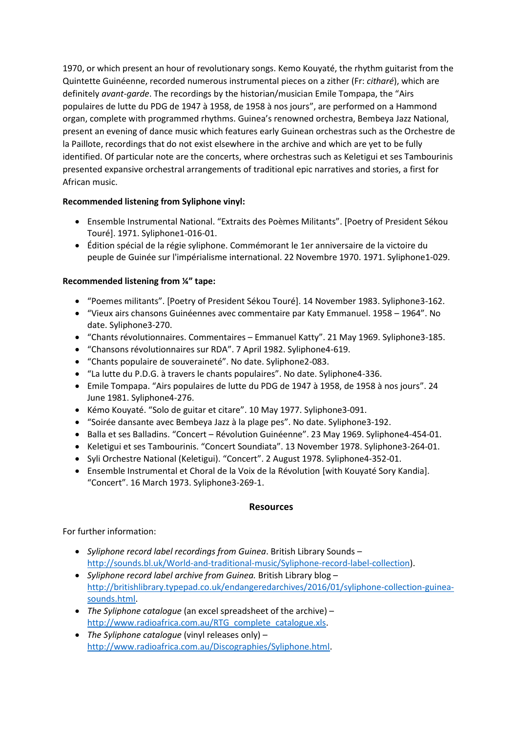1970, or which present an hour of revolutionary songs. Kemo Kouyaté, the rhythm guitarist from the Quintette Guinéenne, recorded numerous instrumental pieces on a zither (Fr: *citharé*), which are definitely *avant-garde*. The recordings by the historian/musician Emile Tompapa, the "Airs populaires de lutte du PDG de 1947 à 1958, de 1958 à nos jours", are performed on a Hammond organ, complete with programmed rhythms. Guinea's renowned orchestra, Bembeya Jazz National, present an evening of dance music which features early Guinean orchestras such as the Orchestre de la Paillote, recordings that do not exist elsewhere in the archive and which are yet to be fully identified. Of particular note are the concerts, where orchestras such as Keletigui et ses Tambourinis presented expansive orchestral arrangements of traditional epic narratives and stories, a first for African music.

# **Recommended listening from Syliphone vinyl:**

- Ensemble Instrumental National. "Extraits des Poèmes Militants". [Poetry of President Sékou Touré]. 1971. Syliphone1-016-01.
- Édition spécial de la régie syliphone. Commémorant le 1er anniversaire de la victoire du peuple de Guinée sur l'impérialisme international. 22 Novembre 1970. 1971. Syliphone1-029.

# **Recommended listening from ¼" tape:**

- "Poemes militants". [Poetry of President Sékou Touré]. 14 November 1983. Syliphone3-162.
- "Vieux airs chansons Guinéennes avec commentaire par Katy Emmanuel. 1958 1964". No date. Syliphone3-270.
- "Chants révolutionnaires. Commentaires Emmanuel Katty". 21 May 1969. Syliphone3-185.
- "Chansons révolutionnaires sur RDA". 7 April 1982. Syliphone4-619.
- "Chants populaire de souveraineté". No date. Syliphone2-083.
- "La lutte du P.D.G. à travers le chants populaires". No date. Syliphone4-336.
- Emile Tompapa. "Airs populaires de lutte du PDG de 1947 à 1958, de 1958 à nos jours". 24 June 1981. Syliphone4-276.
- Kémo Kouyaté. "Solo de guitar et citare". 10 May 1977. Syliphone3-091.
- "Soirée dansante avec Bembeya Jazz à la plage pes". No date. Syliphone3-192.
- Balla et ses Balladins. "Concert Révolution Guinéenne". 23 May 1969. Syliphone4-454-01.
- Keletigui et ses Tambourinis. "Concert Soundiata". 13 November 1978. Syliphone3-264-01.
- Syli Orchestre National (Keletigui). "Concert". 2 August 1978. Syliphone4-352-01.
- Ensemble Instrumental et Choral de la Voix de la Révolution [with Kouyaté Sory Kandia]. "Concert". 16 March 1973. Syliphone3-269-1.

# **Resources**

For further information:

- *Syliphone record label recordings from Guinea*. British Library Sounds [http://sounds.bl.uk/World-and-traditional-music/Syliphone-record-label-collection\)](http://sounds.bl.uk/World-and-traditional-music/Syliphone-record-label-collection).
- *Syliphone record label archive from Guinea.* British Library blog [http://britishlibrary.typepad.co.uk/endangeredarchives/2016/01/syliphone-collection-guinea](http://britishlibrary.typepad.co.uk/endangeredarchives/2016/01/syliphone-collection-guinea-sounds.html)[sounds.html.](http://britishlibrary.typepad.co.uk/endangeredarchives/2016/01/syliphone-collection-guinea-sounds.html)
- *The Syliphone catalogue* (an excel spreadsheet of the archive) [http://www.radioafrica.com.au/RTG\\_complete\\_catalogue.xls.](http://www.radioafrica.com.au/RTG_complete_catalogue.xls)
- *The Syliphone catalogue* (vinyl releases only) [http://www.radioafrica.com.au/Discographies/Syliphone.html.](http://www.radioafrica.com.au/Discographies/Syliphone.html)